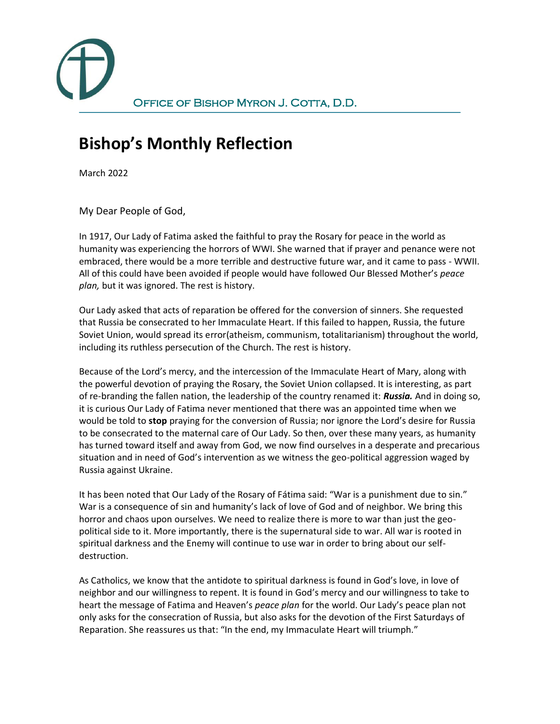

## **Bishop's Monthly Reflection**

March 2022

My Dear People of God,

In 1917, Our Lady of Fatima asked the faithful to pray the Rosary for peace in the world as humanity was experiencing the horrors of WWI. She warned that if prayer and penance were not embraced, there would be a more terrible and destructive future war, and it came to pass - WWII. All of this could have been avoided if people would have followed Our Blessed Mother's *peace plan,* but it was ignored. The rest is history.

Our Lady asked that acts of reparation be offered for the conversion of sinners. She requested that Russia be consecrated to her Immaculate Heart. If this failed to happen, Russia, the future Soviet Union, would spread its error(atheism, communism, totalitarianism) throughout the world, including its ruthless persecution of the Church. The rest is history.

Because of the Lord's mercy, and the intercession of the Immaculate Heart of Mary, along with the powerful devotion of praying the Rosary, the Soviet Union collapsed. It is interesting, as part of re-branding the fallen nation, the leadership of the country renamed it: *Russia.* And in doing so, it is curious Our Lady of Fatima never mentioned that there was an appointed time when we would be told to **stop** praying for the conversion of Russia; nor ignore the Lord's desire for Russia to be consecrated to the maternal care of Our Lady. So then, over these many years, as humanity has turned toward itself and away from God, we now find ourselves in a desperate and precarious situation and in need of God's intervention as we witness the geo-political aggression waged by Russia against Ukraine.

It has been noted that Our Lady of the Rosary of Fátima said: "War is a punishment due to sin." War is a consequence of sin and humanity's lack of love of God and of neighbor. We bring this horror and chaos upon ourselves. We need to realize there is more to war than just the geopolitical side to it. More importantly, there is the supernatural side to war. All war is rooted in spiritual darkness and the Enemy will continue to use war in order to bring about our selfdestruction.

As Catholics, we know that the antidote to spiritual darkness is found in God's love, in love of neighbor and our willingness to repent. It is found in God's mercy and our willingness to take to heart the message of Fatima and Heaven's *peace plan* for the world. Our Lady's peace plan not only asks for the consecration of Russia, but also asks for the devotion of the First Saturdays of Reparation. She reassures us that: "In the end, my Immaculate Heart will triumph."